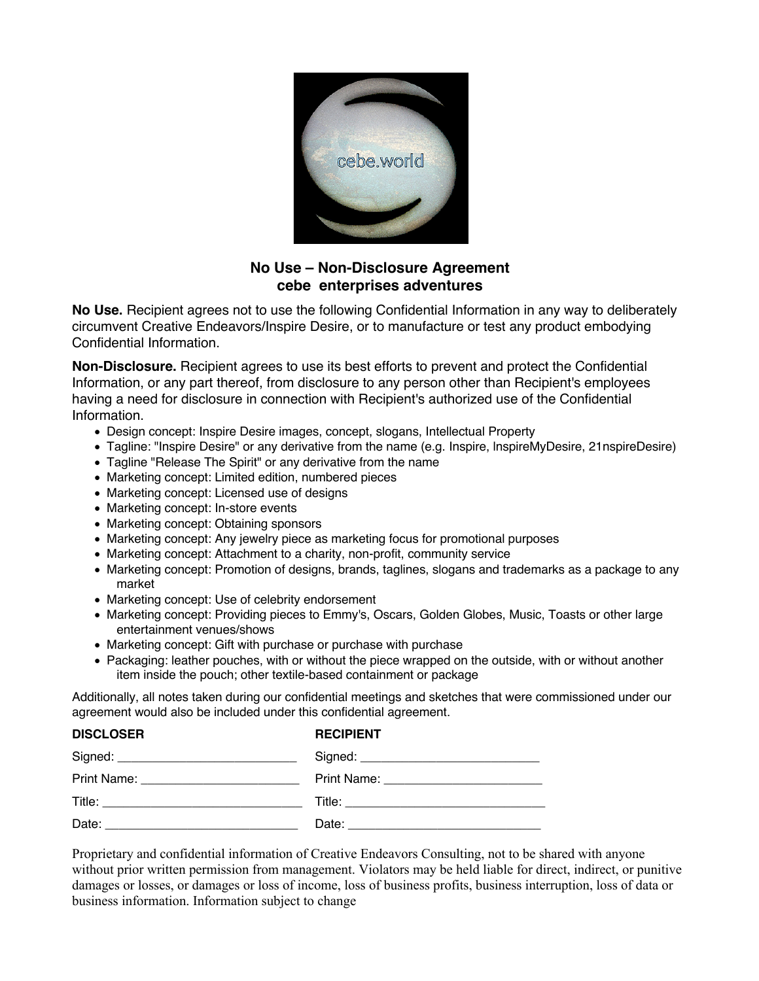

## **No Use – Non-Disclosure Agreement cebe enterprises adventures**

**No Use.** Recipient agrees not to use the following Confidential Information in any way to deliberately circumvent Creative Endeavors/Inspire Desire, or to manufacture or test any product embodying Confidential Information.

**Non-Disclosure.** Recipient agrees to use its best efforts to prevent and protect the Confidential Information, or any part thereof, from disclosure to any person other than Recipient's employees having a need for disclosure in connection with Recipient's authorized use of the Confidential Information.

- Design concept: Inspire Desire images, concept, slogans, Intellectual Property
- Tagline: "Inspire Desire" or any derivative from the name (e.g. Inspire, lnspireMyDesire, 21nspireDesire)
- Tagline "Release The Spirit" or any derivative from the name
- Marketing concept: Limited edition, numbered pieces
- Marketing concept: Licensed use of designs
- Marketing concept: In-store events
- Marketing concept: Obtaining sponsors
- Marketing concept: Any jewelry piece as marketing focus for promotional purposes
- Marketing concept: Attachment to a charity, non-profit, community service
- Marketing concept: Promotion of designs, brands, taglines, slogans and trademarks as a package to any market
- Marketing concept: Use of celebrity endorsement
- Marketing concept: Providing pieces to Emmy's, Oscars, Golden Globes, Music, Toasts or other large entertainment venues/shows
- Marketing concept: Gift with purchase or purchase with purchase
- Packaging: leather pouches, with or without the piece wrapped on the outside, with or without another item inside the pouch; other textile-based containment or package

Additionally, all notes taken during our confidential meetings and sketches that were commissioned under our agreement would also be included under this confidential agreement.

| <b>DISCLOSER</b> | <b>RECIPIENT</b> |
|------------------|------------------|
|                  |                  |
|                  |                  |
|                  |                  |
|                  |                  |

Proprietary and confidential information of Creative Endeavors Consulting, not to be shared with anyone without prior written permission from management. Violators may be held liable for direct, indirect, or punitive damages or losses, or damages or loss of income, loss of business profits, business interruption, loss of data or business information. Information subject to change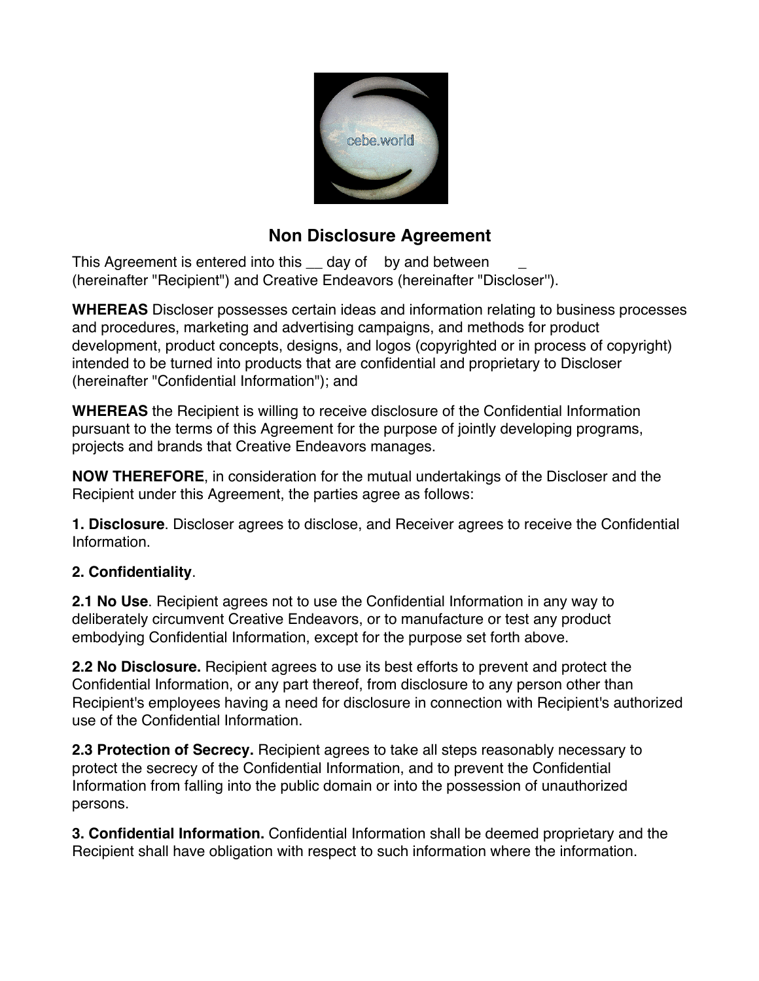

# **Non Disclosure Agreement**

This Agreement is entered into this day of by and between (hereinafter "Recipient") and Creative Endeavors (hereinafter "Discloser'').

**WHEREAS** Discloser possesses certain ideas and information relating to business processes and procedures, marketing and advertising campaigns, and methods for product development, product concepts, designs, and logos (copyrighted or in process of copyright) intended to be turned into products that are confidential and proprietary to Discloser (hereinafter "Confidential Information"); and

**WHEREAS** the Recipient is willing to receive disclosure of the Confidential Information pursuant to the terms of this Agreement for the purpose of jointly developing programs, projects and brands that Creative Endeavors manages.

**NOW THEREFORE**, in consideration for the mutual undertakings of the Discloser and the Recipient under this Agreement, the parties agree as follows:

**1. Disclosure**. Discloser agrees to disclose, and Receiver agrees to receive the Confidential Information.

## **2. Confidentiality**.

**2.1 No Use**. Recipient agrees not to use the Confidential Information in any way to deliberately circumvent Creative Endeavors, or to manufacture or test any product embodying Confidential Information, except for the purpose set forth above.

**2.2 No Disclosure.** Recipient agrees to use its best efforts to prevent and protect the Confidential Information, or any part thereof, from disclosure to any person other than Recipient's employees having a need for disclosure in connection with Recipient's authorized use of the Confidential Information.

**2.3 Protection of Secrecy.** Recipient agrees to take all steps reasonably necessary to protect the secrecy of the Confidential Information, and to prevent the Confidential Information from falling into the public domain or into the possession of unauthorized persons.

**3. Confidential Information.** Confidential Information shall be deemed proprietary and the Recipient shall have obligation with respect to such information where the information.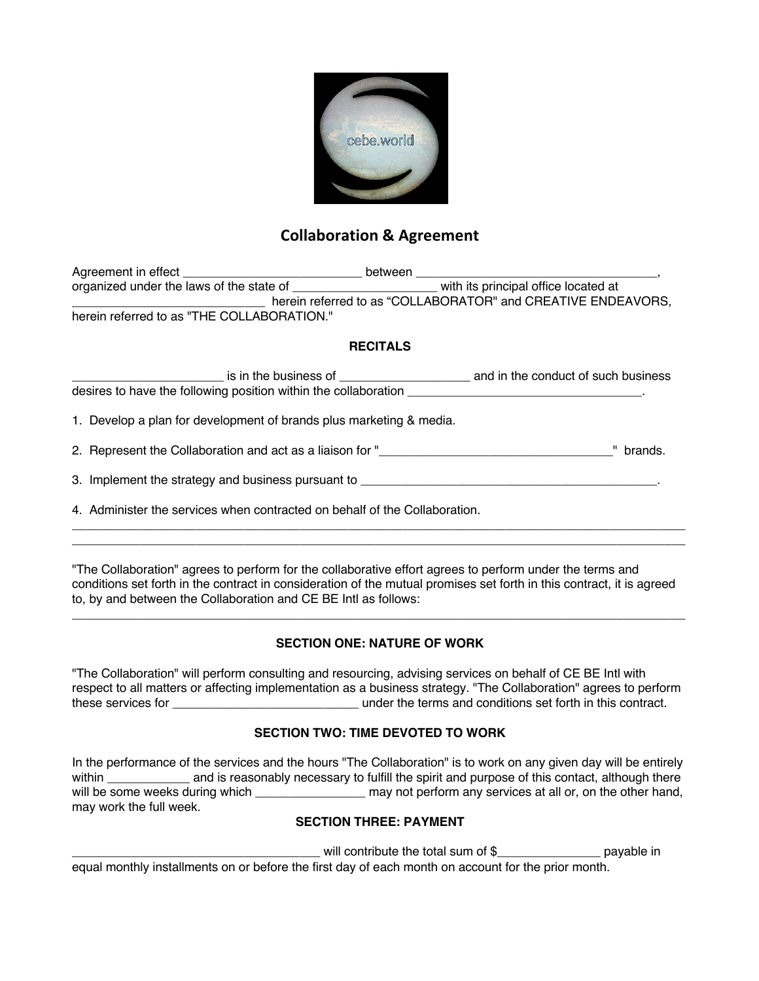

## **Collaboration & Agreement**

| Agreement in effect                        | between                                                      |
|--------------------------------------------|--------------------------------------------------------------|
| organized under the laws of the state of   | with its principal office located at                         |
|                                            | herein referred to as "COLLABORATOR" and CREATIVE ENDEAVORS, |
| herein referred to as "THE COLLABORATION." |                                                              |

## **RECITALS**

| is in the business of                                           | and in the conduct of such business |
|-----------------------------------------------------------------|-------------------------------------|
| desires to have the following position within the collaboration |                                     |

1. Develop a plan for development of brands plus marketing & media.

2. Represent the Collaboration and act as a liaison for "\_\_\_\_\_\_\_\_\_\_\_\_\_\_\_\_\_\_\_\_\_\_\_\_\_\_\_\_\_\_\_\_\_\_" brands.

3. Implement the strategy and business pursuant to

4. Administer the services when contracted on behalf of the Collaboration.

"The Collaboration" agrees to perform for the collaborative effort agrees to perform under the terms and conditions set forth in the contract in consideration of the mutual promises set forth in this contract, it is agreed to, by and between the Collaboration and CE BE Intl as follows:

 $\Box$  $\Box$ 

## **SECTION ONE: NATURE OF WORK**

\_\_\_\_\_\_\_\_\_\_\_\_\_\_\_\_\_\_\_\_\_\_\_\_\_\_\_\_\_\_\_\_\_\_\_\_\_\_\_\_\_\_\_\_\_\_\_\_\_\_\_\_\_\_\_\_\_\_\_\_\_\_\_\_\_\_\_\_\_\_\_\_\_\_\_\_\_\_\_\_\_\_\_\_\_\_\_\_\_

"The Collaboration" will perform consulting and resourcing, advising services on behalf of CE BE Intl with respect to all matters or affecting implementation as a business strategy. "The Collaboration" agrees to perform these services for \_\_\_\_\_\_\_\_\_\_\_\_\_\_\_\_\_\_\_\_\_\_\_\_\_\_\_ under the terms and conditions set forth in this contract.

## **SECTION TWO: TIME DEVOTED TO WORK**

In the performance of the services and the hours "The Collaboration" is to work on any given day will be entirely within \_\_\_\_\_\_\_\_\_\_\_\_ and is reasonably necessary to fulfill the spirit and purpose of this contact, although there will be some weeks during which \_\_\_\_\_\_\_\_\_\_\_\_\_\_\_\_\_\_\_ may not perform any services at all or, on the other hand, may work the full week.

## **SECTION THREE: PAYMENT**

will contribute the total sum of \$\_\_\_\_\_\_\_\_\_\_\_\_\_\_\_\_\_\_\_\_\_\_ payable in

equal monthly installments on or before the first day of each month on account for the prior month.